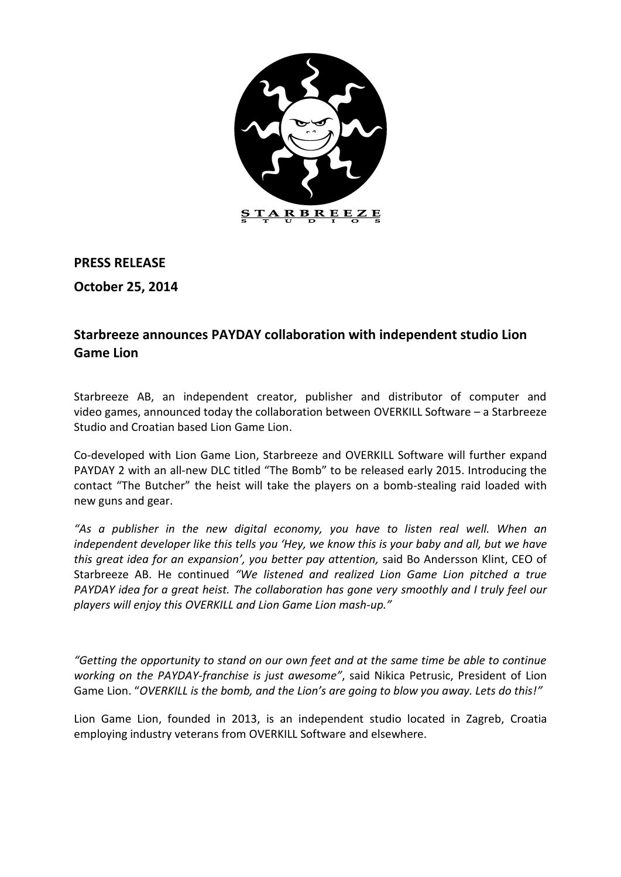

**PRESS RELEASE**

**October 25, 2014**

## **Starbreeze announces PAYDAY collaboration with independent studio Lion Game Lion**

Starbreeze AB, an independent creator, publisher and distributor of computer and video games, announced today the collaboration between OVERKILL Software – a Starbreeze Studio and Croatian based Lion Game Lion.

Co-developed with Lion Game Lion, Starbreeze and OVERKILL Software will further expand PAYDAY 2 with an all-new DLC titled "The Bomb" to be released early 2015. Introducing the contact "The Butcher" the heist will take the players on a bomb-stealing raid loaded with new guns and gear.

*"As a publisher in the new digital economy, you have to listen real well. When an independent developer like this tells you 'Hey, we know this is your baby and all, but we have this great idea for an expansion', you better pay attention,* said Bo Andersson Klint, CEO of Starbreeze AB. He continued *"We listened and realized Lion Game Lion pitched a true PAYDAY idea for a great heist. The collaboration has gone very smoothly and I truly feel our players will enjoy this OVERKILL and Lion Game Lion mash-up."*

*"Getting the opportunity to stand on our own feet and at the same time be able to continue working on the PAYDAY-franchise is just awesome"*, said Nikica Petrusic, President of Lion Game Lion. "*OVERKILL is the bomb, and the Lion's are going to blow you away. Lets do this!"*

Lion Game Lion, founded in 2013, is an independent studio located in Zagreb, Croatia employing industry veterans from OVERKILL Software and elsewhere.